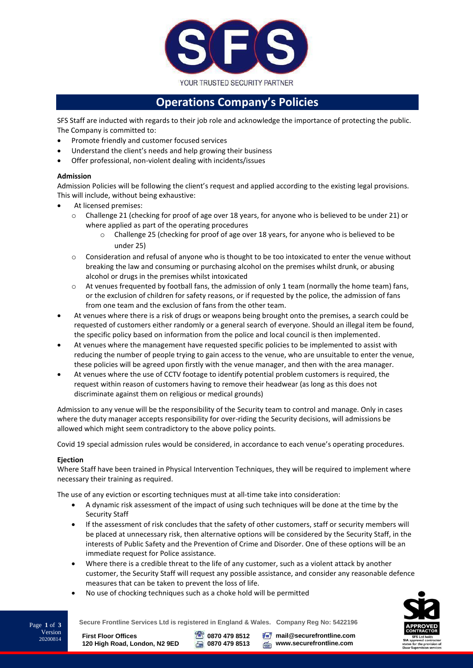

# **Operations Company's Policies**

SFS Staff are inducted with regards to their job role and acknowledge the importance of protecting the public. The Company is committed to:

- Promote friendly and customer focused services
- Understand the client's needs and help growing their business
- Offer professional, non-violent dealing with incidents/issues

# **Admission**

Admission Policies will be following the client's request and applied according to the existing legal provisions. This will include, without being exhaustive:

- At licensed premises:
	- $\circ$  Challenge 21 (checking for proof of age over 18 years, for anyone who is believed to be under 21) or where applied as part of the operating procedures
		- o Challenge 25 (checking for proof of age over 18 years, for anyone who is believed to be under 25)
	- o Consideration and refusal of anyone who is thought to be too intoxicated to enter the venue without breaking the law and consuming or purchasing alcohol on the premises whilst drunk, or abusing alcohol or drugs in the premises whilst intoxicated
	- $\circ$  At venues frequented by football fans, the admission of only 1 team (normally the home team) fans, or the exclusion of children for safety reasons, or if requested by the police, the admission of fans from one team and the exclusion of fans from the other team.
- At venues where there is a risk of drugs or weapons being brought onto the premises, a search could be requested of customers either randomly or a general search of everyone. Should an illegal item be found, the specific policy based on information from the police and local council is then implemented.
- At venues where the management have requested specific policies to be implemented to assist with reducing the number of people trying to gain access to the venue, who are unsuitable to enter the venue, these policies will be agreed upon firstly with the venue manager, and then with the area manager.
- At venues where the use of CCTV footage to identify potential problem customers is required, the request within reason of customers having to remove their headwear (as long as this does not discriminate against them on religious or medical grounds)

Admission to any venue will be the responsibility of the Security team to control and manage. Only in cases where the duty manager accepts responsibility for over-riding the Security decisions, will admissions be allowed which might seem contradictory to the above policy points.

Covid 19 special admission rules would be considered, in accordance to each venue's operating procedures.

## **Ejection**

Version 20200814

Where Staff have been trained in Physical Intervention Techniques, they will be required to implement where necessary their training as required.

The use of any eviction or escorting techniques must at all-time take into consideration:

- A dynamic risk assessment of the impact of using such techniques will be done at the time by the Security Staff
- If the assessment of risk concludes that the safety of other customers, staff or security members will be placed at unnecessary risk, then alternative options will be considered by the Security Staff, in the interests of Public Safety and the Prevention of Crime and Disorder. One of these options will be an immediate request for Police assistance.
- Where there is a credible threat to the life of any customer, such as a violent attack by another customer, the Security Staff will request any possible assistance, and consider any reasonable defence measures that can be taken to prevent the loss of life.
- No use of chocking techniques such as a choke hold will be permitted



**Secure Frontline Services Ltd is registered in England & Wales. Company Reg No: 5422196** Page **<sup>1</sup>** of **<sup>3</sup>**

**First Floor Offices 120 High Road, London, N2 9ED** **0870 479 8512 0870 479 8513**

**Following** mail@securefrontline.com **www.securefrontline.com**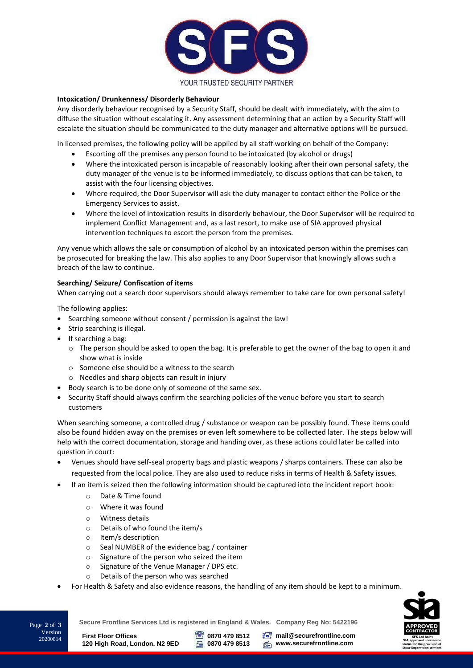

### **Intoxication/ Drunkenness/ Disorderly Behaviour**

Any disorderly behaviour recognised by a Security Staff, should be dealt with immediately, with the aim to diffuse the situation without escalating it. Any assessment determining that an action by a Security Staff will escalate the situation should be communicated to the duty manager and alternative options will be pursued.

In licensed premises, the following policy will be applied by all staff working on behalf of the Company:

- Escorting off the premises any person found to be intoxicated (by alcohol or drugs)
- Where the intoxicated person is incapable of reasonably looking after their own personal safety, the duty manager of the venue is to be informed immediately, to discuss options that can be taken, to assist with the four licensing objectives.
- Where required, the Door Supervisor will ask the duty manager to contact either the Police or the Emergency Services to assist.
- Where the level of intoxication results in disorderly behaviour, the Door Supervisor will be required to implement Conflict Management and, as a last resort, to make use of SIA approved physical intervention techniques to escort the person from the premises.

Any venue which allows the sale or consumption of alcohol by an intoxicated person within the premises can be prosecuted for breaking the law. This also applies to any Door Supervisor that knowingly allows such a breach of the law to continue.

#### **Searching/ Seizure/ Confiscation of items**

When carrying out a search door supervisors should always remember to take care for own personal safety!

The following applies:

- Searching someone without consent / permission is against the law!
- Strip searching is illegal.
- $\bullet$  If searching a bag:
	- $\circ$  The person should be asked to open the bag. It is preferable to get the owner of the bag to open it and show what is inside
	- o Someone else should be a witness to the search
	- o Needles and sharp objects can result in injury
- Body search is to be done only of someone of the same sex.
- Security Staff should always confirm the searching policies of the venue before you start to search customers

When searching someone, a controlled drug / substance or weapon can be possibly found. These items could also be found hidden away on the premises or even left somewhere to be collected later. The steps below will help with the correct documentation, storage and handing over, as these actions could later be called into question in court:

- Venues should have self-seal property bags and plastic weapons / sharps containers. These can also be requested from the local police. They are also used to reduce risks in terms of Health & Safety issues.
- If an item is seized then the following information should be captured into the incident report book:
	- o Date & Time found
	- o Where it was found
	- o Witness details
	- o Details of who found the item/s
	- o Item/s description
	- o Seal NUMBER of the evidence bag / container
	- o Signature of the person who seized the item
	- o Signature of the Venue Manager / DPS etc.
	- o Details of the person who was searched
- For Health & Safety and also evidence reasons, the handling of any item should be kept to a minimum.



**Secure Frontline Services Ltd is registered in England & Wales. Company Reg No: 5422196** Page **<sup>2</sup>** of **<sup>3</sup>**

**First Floor Offices 120 High Road, London, N2 9ED**

Version 20200814

**0870 479 8512 0870 479 8513 Following** mail@securefrontline.com **www.securefrontline.com**